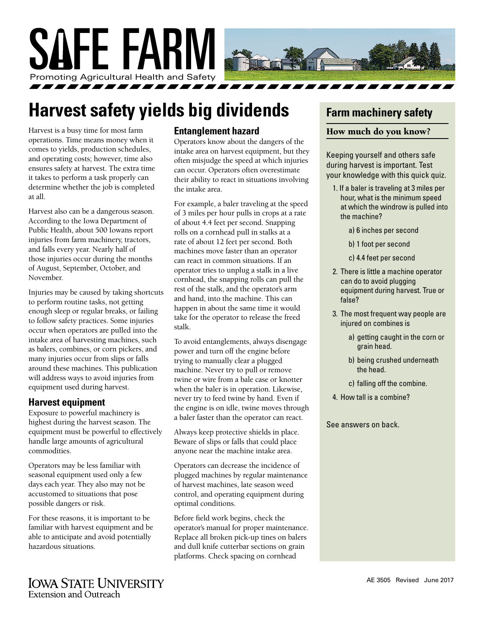

# **Harvest safety yields big dividends**

Harvest is a busy time for most farm operations. Time means money when it comes to yields, production schedules, and operating costs; however, time also ensures safety at harvest. The extra time it takes to perform a task properly can determine whether the job is completed at all.

Harvest also can be a dangerous season. According to the Iowa Department of Public Health, about 500 Iowans report injuries from farm machinery, tractors, and falls every year. Nearly half of those injuries occur during the months of August, September, October, and November.

Injuries may be caused by taking shortcuts to perform routine tasks, not getting enough sleep or regular breaks, or failing to follow safety practices. Some injuries occur when operators are pulled into the intake area of harvesting machines, such as balers, combines, or corn pickers, and many injuries occur from slips or falls around these machines. This publication will address ways to avoid injuries from equipment used during harvest.

## **Harvest equipment**

Exposure to powerful machinery is highest during the harvest season. The equipment must be powerful to effectively handle large amounts of agricultural commodities.

Operators may be less familiar with seasonal equipment used only a few days each year. They also may not be accustomed to situations that pose possible dangers or risk.

For these reasons, it is important to be familiar with harvest equipment and be able to anticipate and avoid potentially hazardous situations.

# **Entanglement hazard**

Operators know about the dangers of the intake area on harvest equipment, but they often misjudge the speed at which injuries can occur. Operators often overestimate their ability to react in situations involving the intake area.

For example, a baler traveling at the speed of 3 miles per hour pulls in crops at a rate of about 4.4 feet per second. Snapping rolls on a cornhead pull in stalks at a rate of about 12 feet per second. Both machines move faster than an operator can react in common situations. If an operator tries to unplug a stalk in a live cornhead, the snapping rolls can pull the rest of the stalk, and the operator's arm and hand, into the machine. This can happen in about the same time it would take for the operator to release the freed stalk.

To avoid entanglements, always disengage power and turn off the engine before trying to manually clear a plugged machine. Never try to pull or remove twine or wire from a bale case or knotter when the baler is in operation. Likewise, never try to feed twine by hand. Even if the engine is on idle, twine moves through a baler faster than the operator can react.

Always keep protective shields in place. Beware of slips or falls that could place anyone near the machine intake area.

Operators can decrease the incidence of plugged machines by regular maintenance of harvest machines, late season weed control, and operating equipment during optimal conditions.

Before field work begins, check the operator's manual for proper maintenance. Replace all broken pick-up tines on balers and dull knife cutterbar sections on grain platforms. Check spacing on cornhead

# **Farm machinery safety**

#### How much do you know?

Keeping yourself and others safe during harvest is important. Test your knowledge with this quick quiz.

- 1. If a baler is traveling at 3 miles per hour, what is the minimum speed at which the windrow is pulled into the machine?
	- a) 6 inches per second
	- b) 1 foot per second
	- c) 4.4 feet per second
- 2. There is little a machine operator can do to avoid plugging equipment during harvest. True or false?
- 3. The most frequent way people are injured on combines is
	- a) getting caught in the corn or grain head.
	- b) being crushed underneath the head.
	- c) falling off the combine.
- 4. How tall is a combine?

See answers on back.